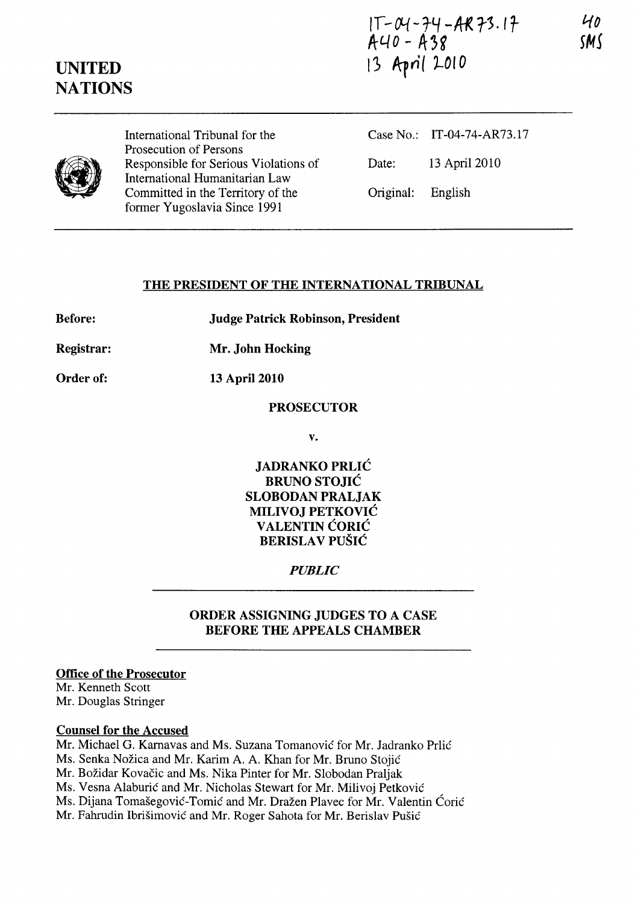# $1T - O4 - 74 - AR73.17$ <br>A40 - A38

## UNITED **NATIONS**

13 April 2010



International Tribunal for the Prosecution of Persons Responsible for Serious Violations of International Humanitarian Law Committed in the Territory of the former Yugoslavia Since 1991

Case No.: IT-04-74-AR73.17 Date: 13 April 2010 Original: English

## THE PRESIDENT OF THE INTERNATIONAL TRIBUNAL

Before: Judge Patrick Robinson, President

Registrar: Mr. John Hocking

Order of: 13 April 2010

## PROSECUTOR

v.

JADRANKO PRLIC BRUNO STOJIC SLOBODAN PRALJAK MILIVOJ PETKOVIC VALENTIN CORIC BERISLAV PUŠIĆ

## *PUBLIC*

## ORDER ASSIGNING JUDGES TO A CASE BEFORE THE APPEALS CHAMBER

### Office of the Prosecutor

Mr. Kenneth Scott Mr. Douglas Stringer

### Counsel for the Accused

Mr. Michael G. Karnavas and Ms. Suzana Tomanović for Mr. Jadranko Prlić Ms. Senka Nožica and Mr. Karim A. A. Khan for Mr. Bruno Stojić Mr. Božidar Kovačic and Ms. Nika Pinter for Mr. Slobodan Praljak Ms. Vesna Alaburić and Mr. Nicholas Stewart for Mr. Milivoj Petković Ms. Dijana Tomašegović-Tomić and Mr. Dražen Plavec for Mr. Valentin Ćorić Mr. Fahrudin Ibrisimovic and Mr. Roger Sahota for Mr. Berislav Pusic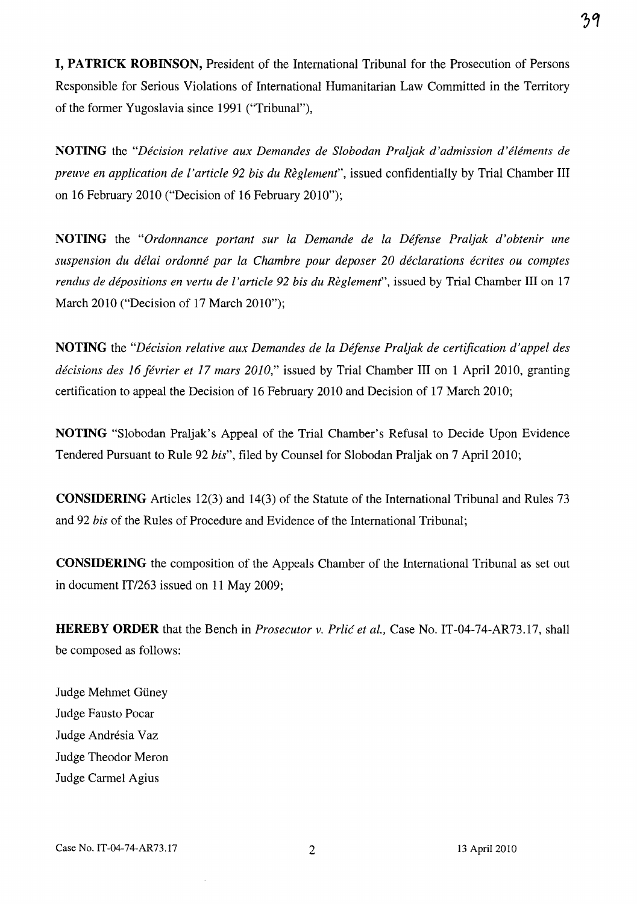I, PATRICK ROBINSON, President of the International Tribunal for the Prosecution of Persons Responsible for Serious Violations of International Humanitarian Law Committed in the Territory of the former Yugoslavia since 1991 ("Tribunal"),

NOTING the *"Decision relative aux Demandes de Slobodan Praljak d'admission d'elements de preuve en application de l'article* 92 *bis du Reglement",* issued confidentially by Trial Chamber III on 16 February 2010 ("Decision of 16 February 2010");

NOTING the *"Ordonnance portant sur La Demande de la Defense PraLjak d'obtenir une suspension du delai ordonne par la Chambre pour deposer 20 declarations ecrites ou comptes rendus de dépositions en vertu de l'article 92 bis du Règlement*", issued by Trial Chamber III on 17 March 2010 ("Decision of 17 March 2010");

NOTING the *"Decision relative aux Demandes de la Defense Praljak de certification d'appel des décisions des 16 février et 17 mars 2010,*" issued by Trial Chamber III on 1 April 2010, granting certification to appeal the Decision of 16 February 2010 and Decision of 17 March 2010;

NOTING "Slobodan Praljak's Appeal of the Trial Chamber's Refusal to Decide Upon Evidence Tendered Pursuant to Rule 92 *bis",* filed by Counsel for Slobodan Praljak on 7 April 2010;

CONSIDERING Articles 12(3) and 14(3) of the Statute of the International Tribunal and Rules 73 and 92 *bis* of the Rules of Procedure and Evidence of the International Tribunal;

CONSIDERING the composition of the Appeals Chamber of the International Tribunal as set out in document *IT/263* issued on 11 May 2009;

HEREBY ORDER that the Bench in *Prosecutor v. Prlic et aI.,* Case No. IT-04-74-AR73.17, shall be composed as follows:

Judge Mehmet Güney Judge Fausto Pocar Judge Andrésia Vaz Judge Theodor Meron Judge Carmel Agius